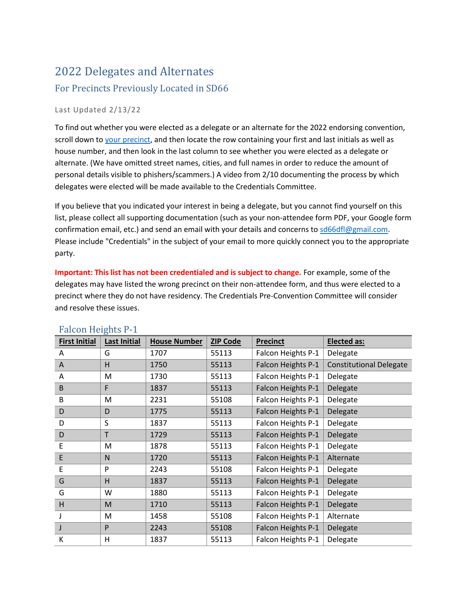# 2022 Delegates and Alternates For Precincts Previously Located in SD66

#### Last Updated 2/13/22

To find out whether you were elected as a delegate or an alternate for the 2022 endorsing convention, scroll down to [your precinct,](caucus.dfl.org) and then locate the row containing your first and last initials as well as house number, and then look in the last column to see whether you were elected as a delegate or alternate. (We have omitted street names, cities, and full names in order to reduce the amount of personal details visible to phishers/scammers.) A video from 2/10 documenting the process by which delegates were elected will be made available to the Credentials Committee.

If you believe that you indicated your interest in being a delegate, but you cannot find yourself on this list, please collect all supporting documentation (such as your non-attendee form PDF, your Google form confirmation email, etc.) and send an email with your details and concerns t[o sd66dfl@gmail.com.](mailto:sd66dfl@gmail.com) Please include "Credentials" in the subject of your email to more quickly connect you to the appropriate party.

**Important: This list has not been credentialed and is subject to change.** For example, some of the delegates may have listed the wrong precinct on their non-attendee form, and thus were elected to a precinct where they do not have residency. The Credentials Pre-Convention Committee will consider and resolve these issues.

| <b>First Initial</b> | <b>Last Initial</b> | <b>House Number</b> | <b>ZIP Code</b> | <b>Precinct</b>    | <b>Elected as:</b>             |
|----------------------|---------------------|---------------------|-----------------|--------------------|--------------------------------|
| A                    | G                   | 1707                | 55113           | Falcon Heights P-1 | Delegate                       |
| A                    | H                   | 1750                | 55113           | Falcon Heights P-1 | <b>Constitutional Delegate</b> |
| Α                    | M                   | 1730                | 55113           | Falcon Heights P-1 | Delegate                       |
| B                    | F                   | 1837                | 55113           | Falcon Heights P-1 | Delegate                       |
| B                    | M                   | 2231                | 55108           | Falcon Heights P-1 | Delegate                       |
| D                    | D                   | 1775                | 55113           | Falcon Heights P-1 | Delegate                       |
| D                    | S                   | 1837                | 55113           | Falcon Heights P-1 | Delegate                       |
| D                    | Τ                   | 1729                | 55113           | Falcon Heights P-1 | Delegate                       |
| E                    | M                   | 1878                | 55113           | Falcon Heights P-1 | Delegate                       |
| E                    | N                   | 1720                | 55113           | Falcon Heights P-1 | Alternate                      |
| E                    | P                   | 2243                | 55108           | Falcon Heights P-1 | Delegate                       |
| G                    | H                   | 1837                | 55113           | Falcon Heights P-1 | Delegate                       |
| G                    | W                   | 1880                | 55113           | Falcon Heights P-1 | Delegate                       |
| H                    | M                   | 1710                | 55113           | Falcon Heights P-1 | Delegate                       |
|                      | M                   | 1458                | 55108           | Falcon Heights P-1 | Alternate                      |
| J                    | P                   | 2243                | 55108           | Falcon Heights P-1 | Delegate                       |
| К                    | H                   | 1837                | 55113           | Falcon Heights P-1 | Delegate                       |

#### Falcon Heights P-1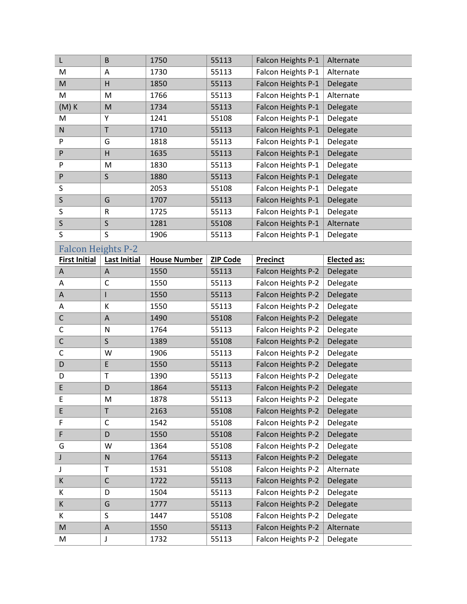| L                                                                                                          | $\mathsf B$         | 1750                | 55113           | Falcon Heights P-1 | Alternate   |
|------------------------------------------------------------------------------------------------------------|---------------------|---------------------|-----------------|--------------------|-------------|
| M                                                                                                          | Α                   | 1730                | 55113           | Falcon Heights P-1 | Alternate   |
| M                                                                                                          | Η                   | 1850                | 55113           | Falcon Heights P-1 | Delegate    |
| M                                                                                                          | M                   | 1766                | 55113           | Falcon Heights P-1 | Alternate   |
| $(M)$ K                                                                                                    | M                   | 1734                | 55113           | Falcon Heights P-1 | Delegate    |
| M                                                                                                          | Υ                   | 1241                | 55108           | Falcon Heights P-1 | Delegate    |
| ${\sf N}$                                                                                                  | $\mathsf T$         | 1710                | 55113           | Falcon Heights P-1 | Delegate    |
| P                                                                                                          | G                   | 1818                | 55113           | Falcon Heights P-1 | Delegate    |
| P                                                                                                          | $\overline{H}$      | 1635                | 55113           | Falcon Heights P-1 | Delegate    |
| P                                                                                                          | M                   | 1830                | 55113           | Falcon Heights P-1 | Delegate    |
| P                                                                                                          | $\mathsf S$         | 1880                | 55113           | Falcon Heights P-1 | Delegate    |
| S                                                                                                          |                     | 2053                | 55108           | Falcon Heights P-1 | Delegate    |
| $\mathsf S$                                                                                                | G                   | 1707                | 55113           | Falcon Heights P-1 | Delegate    |
| S                                                                                                          | $\mathsf R$         | 1725                | 55113           | Falcon Heights P-1 | Delegate    |
| $\mathsf S$                                                                                                | S                   | 1281                | 55108           | Falcon Heights P-1 | Alternate   |
| S                                                                                                          | S                   | 1906                | 55113           | Falcon Heights P-1 | Delegate    |
| <b>Falcon Heights P-2</b>                                                                                  |                     |                     |                 |                    |             |
| <b>First Initial</b>                                                                                       | <b>Last Initial</b> | <b>House Number</b> | <b>ZIP Code</b> | <b>Precinct</b>    | Elected as: |
| A                                                                                                          | A                   | 1550                | 55113           | Falcon Heights P-2 | Delegate    |
| Α                                                                                                          | C                   | 1550                | 55113           | Falcon Heights P-2 | Delegate    |
| A                                                                                                          | $\mathsf{I}$        | 1550                | 55113           | Falcon Heights P-2 | Delegate    |
| Α                                                                                                          | К                   | 1550                | 55113           | Falcon Heights P-2 | Delegate    |
| $\mathsf C$                                                                                                | $\overline{A}$      | 1490                | 55108           | Falcon Heights P-2 | Delegate    |
| C                                                                                                          | ${\sf N}$           | 1764                | 55113           | Falcon Heights P-2 | Delegate    |
| $\mathsf C$                                                                                                | S                   | 1389                | 55108           | Falcon Heights P-2 | Delegate    |
| $\mathsf C$                                                                                                | W                   | 1906                | 55113           | Falcon Heights P-2 | Delegate    |
| D                                                                                                          | E                   | 1550                | 55113           | Falcon Heights P-2 | Delegate    |
| D                                                                                                          | T                   | 1390                | 55113           | Falcon Heights P-2 | Delegate    |
| E                                                                                                          | D                   | 1864                | 55113           | Falcon Heights P-2 | Delegate    |
| E                                                                                                          | M                   | 1878                | 55113           | Falcon Heights P-2 | Delegate    |
| E                                                                                                          | $\sf T$             | 2163                | 55108           | Falcon Heights P-2 | Delegate    |
| F                                                                                                          | C                   | 1542                | 55108           | Falcon Heights P-2 | Delegate    |
| F                                                                                                          | D                   | 1550                | 55108           | Falcon Heights P-2 | Delegate    |
| G                                                                                                          | W                   | 1364                | 55108           | Falcon Heights P-2 | Delegate    |
| J                                                                                                          | ${\sf N}$           | 1764                | 55113           | Falcon Heights P-2 | Delegate    |
| J                                                                                                          | T                   | 1531                | 55108           | Falcon Heights P-2 | Alternate   |
| К                                                                                                          | $\mathsf C$         | 1722                | 55113           | Falcon Heights P-2 | Delegate    |
| К                                                                                                          | D                   | 1504                | 55113           | Falcon Heights P-2 | Delegate    |
| K                                                                                                          | G                   | 1777                | 55113           | Falcon Heights P-2 | Delegate    |
| К                                                                                                          |                     |                     |                 |                    |             |
|                                                                                                            | S                   | 1447                | 55108           | Falcon Heights P-2 | Delegate    |
| $\mathsf{M}% _{T}=\mathsf{M}_{T}\!\left( a,b\right) ,\ \mathsf{M}_{T}=\mathsf{M}_{T}\!\left( a,b\right) ,$ | $\mathsf A$         | 1550                | 55113           | Falcon Heights P-2 | Alternate   |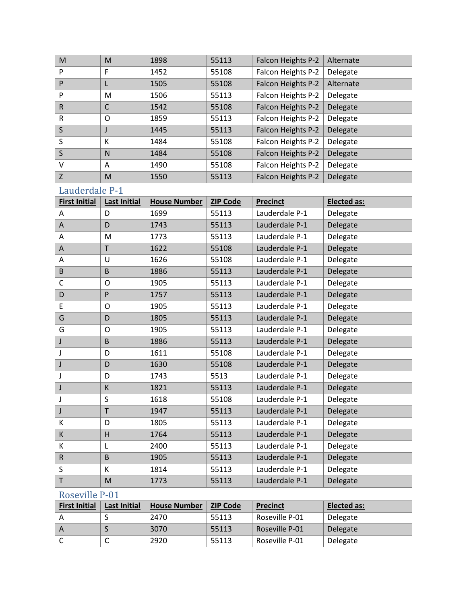| M            | M | 1898 | 55113 | Falcon Heights P-2 | Alternate |
|--------------|---|------|-------|--------------------|-----------|
| P            | F | 1452 | 55108 | Falcon Heights P-2 | Delegate  |
| P            |   | 1505 | 55108 | Falcon Heights P-2 | Alternate |
| P            | М | 1506 | 55113 | Falcon Heights P-2 | Delegate  |
| $\mathsf{R}$ | C | 1542 | 55108 | Falcon Heights P-2 | Delegate  |
| R            | O | 1859 | 55113 | Falcon Heights P-2 | Delegate  |
| S            |   | 1445 | 55113 | Falcon Heights P-2 | Delegate  |
| S            | К | 1484 | 55108 | Falcon Heights P-2 | Delegate  |
| S            | N | 1484 | 55108 | Falcon Heights P-2 | Delegate  |
| $\vee$       | A | 1490 | 55108 | Falcon Heights P-2 | Delegate  |
| Z            | M | 1550 | 55113 | Falcon Heights P-2 | Delegate  |

## Lauderdale P-1

| <b>First Initial</b> | <b>Last Initial</b>     | <b>House Number</b> | <b>ZIP Code</b> | <b>Precinct</b> | <b>Elected as:</b> |
|----------------------|-------------------------|---------------------|-----------------|-----------------|--------------------|
| A                    | D                       | 1699                | 55113           | Lauderdale P-1  | Delegate           |
| $\mathsf{A}$         | D                       | 1743                | 55113           | Lauderdale P-1  | Delegate           |
| A                    | M                       | 1773                | 55113           | Lauderdale P-1  | Delegate           |
| A                    | T                       | 1622                | 55108           | Lauderdale P-1  | Delegate           |
| A                    | U                       | 1626                | 55108           | Lauderdale P-1  | Delegate           |
| B                    | B                       | 1886                | 55113           | Lauderdale P-1  | Delegate           |
| C                    | O                       | 1905                | 55113           | Lauderdale P-1  | Delegate           |
| $\mathsf D$          | P                       | 1757                | 55113           | Lauderdale P-1  | Delegate           |
| E                    | $\mathsf{O}$            | 1905                | 55113           | Lauderdale P-1  | Delegate           |
| G                    | D                       | 1805                | 55113           | Lauderdale P-1  | Delegate           |
| G                    | O                       | 1905                | 55113           | Lauderdale P-1  | Delegate           |
| J                    | B                       | 1886                | 55113           | Lauderdale P-1  | Delegate           |
| J                    | D                       | 1611                | 55108           | Lauderdale P-1  | Delegate           |
| J                    | D                       | 1630                | 55108           | Lauderdale P-1  | Delegate           |
| J                    | D                       | 1743                | 5513            | Lauderdale P-1  | Delegate           |
| J                    | К                       | 1821                | 55113           | Lauderdale P-1  | Delegate           |
| J                    | S                       | 1618                | 55108           | Lauderdale P-1  | Delegate           |
| J                    | T                       | 1947                | 55113           | Lauderdale P-1  | Delegate           |
| К                    | D                       | 1805                | 55113           | Lauderdale P-1  | Delegate           |
| $\sf K$              | $\overline{\mathsf{H}}$ | 1764                | 55113           | Lauderdale P-1  | Delegate           |
| К                    | L                       | 2400                | 55113           | Lauderdale P-1  | Delegate           |
| ${\sf R}$            | B                       | 1905                | 55113           | Lauderdale P-1  | Delegate           |
| S                    | К                       | 1814                | 55113           | Lauderdale P-1  | Delegate           |
| $\sf T$              | M                       | 1773                | 55113           | Lauderdale P-1  | Delegate           |

### Roseville P-01

| <b>First Initial</b> | Last Initial | <b>House Number</b> | <b>ZIP Code</b> | <b>Precinct</b> | Elected as: |
|----------------------|--------------|---------------------|-----------------|-----------------|-------------|
|                      |              | 2470                | 55113           | Roseville P-01  | Delegate    |
|                      |              | 3070                | 55113           | Roseville P-01  | Delegate    |
|                      | ◡            | 2920                | 55113           | Roseville P-01  | Delegate    |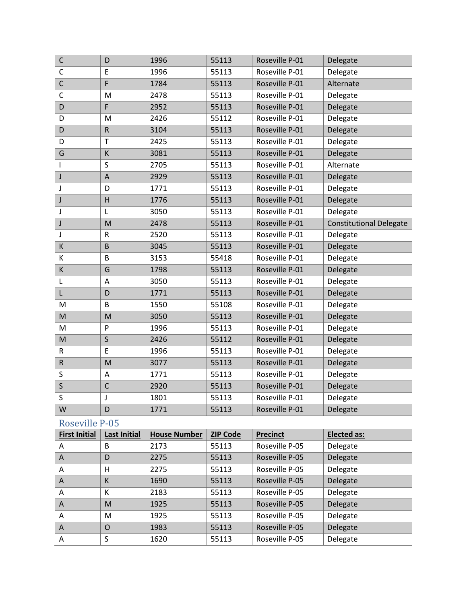| $\mathsf C$  | D            | 1996 | 55113 | Roseville P-01 | Delegate                       |
|--------------|--------------|------|-------|----------------|--------------------------------|
| $\mathsf{C}$ | E            | 1996 | 55113 | Roseville P-01 | Delegate                       |
| $\mathsf C$  | F            | 1784 | 55113 | Roseville P-01 | Alternate                      |
| $\mathsf{C}$ | M            | 2478 | 55113 | Roseville P-01 | Delegate                       |
| D            | F            | 2952 | 55113 | Roseville P-01 | Delegate                       |
| D            | M            | 2426 | 55112 | Roseville P-01 | Delegate                       |
| D            | $\mathsf R$  | 3104 | 55113 | Roseville P-01 | Delegate                       |
| D            | T            | 2425 | 55113 | Roseville P-01 | Delegate                       |
| G            | К            | 3081 | 55113 | Roseville P-01 | Delegate                       |
| I            | S            | 2705 | 55113 | Roseville P-01 | Alternate                      |
| J            | A            | 2929 | 55113 | Roseville P-01 | Delegate                       |
| J            | D            | 1771 | 55113 | Roseville P-01 | Delegate                       |
| J            | H            | 1776 | 55113 | Roseville P-01 | Delegate                       |
| J            | L            | 3050 | 55113 | Roseville P-01 | Delegate                       |
| J            | M            | 2478 | 55113 | Roseville P-01 | <b>Constitutional Delegate</b> |
| J            | R            | 2520 | 55113 | Roseville P-01 | Delegate                       |
| К            | B            | 3045 | 55113 | Roseville P-01 | Delegate                       |
| K            | B            | 3153 | 55418 | Roseville P-01 | Delegate                       |
| $\sf K$      | G            | 1798 | 55113 | Roseville P-01 | Delegate                       |
| L            | A            | 3050 | 55113 | Roseville P-01 | Delegate                       |
| L            | D            | 1771 | 55113 | Roseville P-01 | Delegate                       |
| M            | B            | 1550 | 55108 | Roseville P-01 | Delegate                       |
| M            | M            | 3050 | 55113 | Roseville P-01 | Delegate                       |
| M            | P            | 1996 | 55113 | Roseville P-01 | Delegate                       |
| M            | $\mathsf S$  | 2426 | 55112 | Roseville P-01 | Delegate                       |
| $\mathsf{R}$ | E            | 1996 | 55113 | Roseville P-01 | Delegate                       |
| ${\sf R}$    | M            | 3077 | 55113 | Roseville P-01 | Delegate                       |
| S            | A            | 1771 | 55113 | Roseville P-01 | Delegate                       |
| $\mathsf S$  | $\mathsf{C}$ | 2920 | 55113 | Roseville P-01 | Delegate                       |
| S            | J            | 1801 | 55113 | Roseville P-01 | Delegate                       |
| W            | D            | 1771 | 55113 | Roseville P-01 | Delegate                       |

## Roseville P-05

| <b>First Initial</b> | <b>Last Initial</b> | <b>House Number</b> | <b>ZIP Code</b> | <b>Precinct</b> | <b>Elected as:</b> |
|----------------------|---------------------|---------------------|-----------------|-----------------|--------------------|
| A                    | B                   | 2173                | 55113           | Roseville P-05  | Delegate           |
| A                    | D                   | 2275                | 55113           | Roseville P-05  | Delegate           |
| A                    | н                   | 2275                | 55113           | Roseville P-05  | Delegate           |
| $\overline{A}$       | K                   | 1690                | 55113           | Roseville P-05  | Delegate           |
| A                    | K                   | 2183                | 55113           | Roseville P-05  | Delegate           |
| A                    | M                   | 1925                | 55113           | Roseville P-05  | Delegate           |
| A                    | M                   | 1925                | 55113           | Roseville P-05  | Delegate           |
| $\overline{A}$       | $\Omega$            | 1983                | 55113           | Roseville P-05  | Delegate           |
| A                    | S                   | 1620                | 55113           | Roseville P-05  | Delegate           |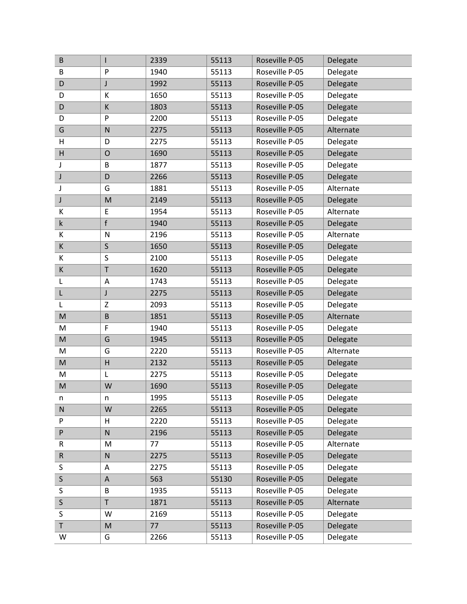| $\sf B$                                                                                                    | $\mathsf{I}$   | 2339 | 55113 | Roseville P-05 | Delegate  |
|------------------------------------------------------------------------------------------------------------|----------------|------|-------|----------------|-----------|
| B                                                                                                          | P              | 1940 | 55113 | Roseville P-05 | Delegate  |
| D                                                                                                          | $\mathsf J$    | 1992 | 55113 | Roseville P-05 | Delegate  |
| D                                                                                                          | К              | 1650 | 55113 | Roseville P-05 | Delegate  |
| D                                                                                                          | К              | 1803 | 55113 | Roseville P-05 | Delegate  |
| D                                                                                                          | $\mathsf{P}$   | 2200 | 55113 | Roseville P-05 | Delegate  |
| G                                                                                                          | $\mathsf{N}$   | 2275 | 55113 | Roseville P-05 | Alternate |
| H                                                                                                          | D              | 2275 | 55113 | Roseville P-05 | Delegate  |
| H                                                                                                          | $\overline{O}$ | 1690 | 55113 | Roseville P-05 | Delegate  |
| J                                                                                                          | B              | 1877 | 55113 | Roseville P-05 | Delegate  |
| J                                                                                                          | D              | 2266 | 55113 | Roseville P-05 | Delegate  |
| J                                                                                                          | G              | 1881 | 55113 | Roseville P-05 | Alternate |
| J                                                                                                          | M              | 2149 | 55113 | Roseville P-05 | Delegate  |
| К                                                                                                          | E              | 1954 | 55113 | Roseville P-05 | Alternate |
| $\sf k$                                                                                                    | $\mathsf{f}$   | 1940 | 55113 | Roseville P-05 | Delegate  |
| К                                                                                                          | N              | 2196 | 55113 | Roseville P-05 | Alternate |
| К                                                                                                          | $\sf S$        | 1650 | 55113 | Roseville P-05 | Delegate  |
| К                                                                                                          | S              | 2100 | 55113 | Roseville P-05 | Delegate  |
| К                                                                                                          | T              | 1620 | 55113 | Roseville P-05 | Delegate  |
| L                                                                                                          | A              | 1743 | 55113 | Roseville P-05 | Delegate  |
| L                                                                                                          | J              | 2275 | 55113 | Roseville P-05 | Delegate  |
| L                                                                                                          | Z              | 2093 | 55113 | Roseville P-05 | Delegate  |
| $\mathsf{M}% _{T}=\mathsf{M}_{T}\!\left( a,b\right) ,\ \mathsf{M}_{T}=\mathsf{M}_{T}\!\left( a,b\right) ,$ | $\sf B$        | 1851 | 55113 | Roseville P-05 | Alternate |
| M                                                                                                          | F              | 1940 | 55113 | Roseville P-05 | Delegate  |
| M                                                                                                          | G              | 1945 | 55113 | Roseville P-05 | Delegate  |
| M                                                                                                          | G              | 2220 | 55113 | Roseville P-05 | Alternate |
| M                                                                                                          | H              | 2132 | 55113 | Roseville P-05 | Delegate  |
| M                                                                                                          | L              | 2275 | 55113 | Roseville P-05 | Delegate  |
| M                                                                                                          | W              | 1690 | 55113 | Roseville P-05 | Delegate  |
| n                                                                                                          | n              | 1995 | 55113 | Roseville P-05 | Delegate  |
| ${\sf N}$                                                                                                  | W              | 2265 | 55113 | Roseville P-05 | Delegate  |
| P                                                                                                          | Н              | 2220 | 55113 | Roseville P-05 | Delegate  |
| P                                                                                                          | $\mathsf{N}$   | 2196 | 55113 | Roseville P-05 | Delegate  |
| R                                                                                                          | M              | 77   | 55113 | Roseville P-05 | Alternate |
| ${\sf R}$                                                                                                  | ${\sf N}$      | 2275 | 55113 | Roseville P-05 | Delegate  |
| S                                                                                                          | Α              | 2275 | 55113 | Roseville P-05 | Delegate  |
| $\sf S$                                                                                                    | A              | 563  | 55130 | Roseville P-05 | Delegate  |
| S                                                                                                          | B              | 1935 | 55113 | Roseville P-05 | Delegate  |
| $\sf S$                                                                                                    | $\mathsf T$    | 1871 | 55113 | Roseville P-05 | Alternate |
| S                                                                                                          | W              | 2169 | 55113 | Roseville P-05 | Delegate  |
| T                                                                                                          | M              | 77   | 55113 | Roseville P-05 | Delegate  |
| W                                                                                                          | G              | 2266 | 55113 | Roseville P-05 | Delegate  |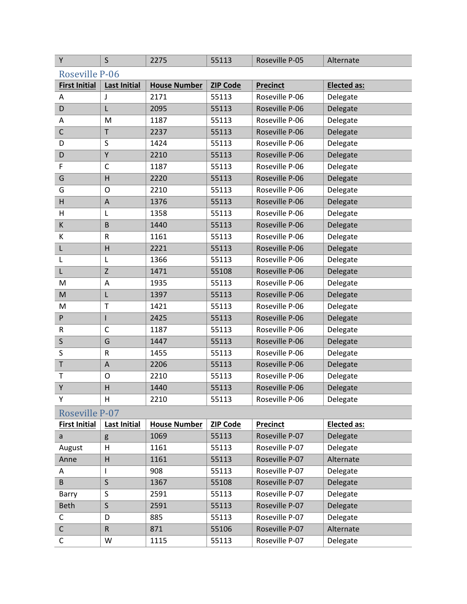| Υ                    | $\mathsf{S}$        | 2275                | 55113           | Roseville P-05  | Alternate          |
|----------------------|---------------------|---------------------|-----------------|-----------------|--------------------|
| Roseville P-06       |                     |                     |                 |                 |                    |
| <b>First Initial</b> | <b>Last Initial</b> | <b>House Number</b> | <b>ZIP Code</b> | <b>Precinct</b> | <b>Elected as:</b> |
| A                    | J                   | 2171                | 55113           | Roseville P-06  | Delegate           |
| D                    | L                   | 2095                | 55113           | Roseville P-06  | Delegate           |
| Α                    | M                   | 1187                | 55113           | Roseville P-06  | Delegate           |
| $\mathsf C$          | T                   | 2237                | 55113           | Roseville P-06  | Delegate           |
| D                    | S                   | 1424                | 55113           | Roseville P-06  | Delegate           |
| D                    | Υ                   | 2210                | 55113           | Roseville P-06  | Delegate           |
| F                    | C                   | 1187                | 55113           | Roseville P-06  | Delegate           |
| G                    | H                   | 2220                | 55113           | Roseville P-06  | Delegate           |
| G                    | $\mathsf{O}$        | 2210                | 55113           | Roseville P-06  | Delegate           |
| H                    | A                   | 1376                | 55113           | Roseville P-06  | Delegate           |
| н                    | L                   | 1358                | 55113           | Roseville P-06  | Delegate           |
| К                    | B                   | 1440                | 55113           | Roseville P-06  | Delegate           |
| К                    | R                   | 1161                | 55113           | Roseville P-06  | Delegate           |
| L                    | $\overline{H}$      | 2221                | 55113           | Roseville P-06  | Delegate           |
| L                    | L                   | 1366                | 55113           | Roseville P-06  | Delegate           |
| L                    | Z                   | 1471                | 55108           | Roseville P-06  | Delegate           |
| M                    | A                   | 1935                | 55113           | Roseville P-06  | Delegate           |
| M                    | L                   | 1397                | 55113           | Roseville P-06  | Delegate           |
| M                    | T                   | 1421                | 55113           | Roseville P-06  | Delegate           |
| ${\sf P}$            | I                   | 2425                | 55113           | Roseville P-06  | Delegate           |
| ${\sf R}$            | $\mathsf{C}$        | 1187                | 55113           | Roseville P-06  | Delegate           |
| S                    | G                   | 1447                | 55113           | Roseville P-06  | Delegate           |
| S                    | ${\sf R}$           | 1455                | 55113           | Roseville P-06  | Delegate           |
| $\sf T$              | $\mathsf A$         | 2206                | 55113           | Roseville P-06  | Delegate           |
| Т                    | O                   | 2210                | 55113           | Roseville P-06  | Delegate           |
| Y                    | H                   | 1440                | 55113           | Roseville P-06  | Delegate           |
| Υ                    | н                   | 2210                | 55113           | Roseville P-06  | Delegate           |
| Roseville P-07       |                     |                     |                 |                 |                    |
| <b>First Initial</b> | Last Initial        | <b>House Number</b> | <b>ZIP Code</b> | <b>Precinct</b> | Elected as:        |
| a                    | g                   | 1069                | 55113           | Roseville P-07  | Delegate           |
| August               | н                   | 1161                | 55113           | Roseville P-07  | Delegate           |
| Anne                 | H                   | 1161                | 55113           | Roseville P-07  | Alternate          |
| A                    | L                   | 908                 | 55113           | Roseville P-07  | Delegate           |
| B                    | $\mathsf S$         | 1367                | 55108           | Roseville P-07  | Delegate           |
| Barry                | S                   | 2591                | 55113           | Roseville P-07  | Delegate           |
| Beth                 | $\sf S$             | 2591                | 55113           | Roseville P-07  | Delegate           |
| C                    | D                   | 885                 | 55113           | Roseville P-07  | Delegate           |
| $\mathsf C$          | ${\sf R}$           | 871                 | 55106           | Roseville P-07  | Alternate          |
| C                    | W                   | 1115                | 55113           | Roseville P-07  | Delegate           |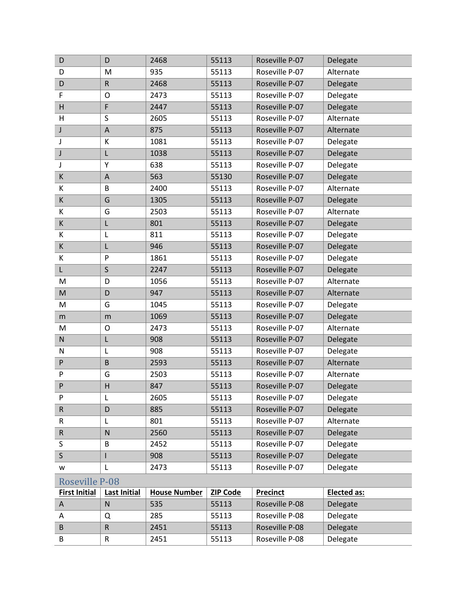| D                     | D                         | 2468                | 55113           | Roseville P-07  | Delegate           |
|-----------------------|---------------------------|---------------------|-----------------|-----------------|--------------------|
| D                     | M                         | 935                 | 55113           | Roseville P-07  | Alternate          |
| D                     | ${\sf R}$                 | 2468                | 55113           | Roseville P-07  | Delegate           |
| F                     | O                         | 2473                | 55113           | Roseville P-07  | Delegate           |
| Н                     | F                         | 2447                | 55113           | Roseville P-07  | Delegate           |
| H                     | S                         | 2605                | 55113           | Roseville P-07  | Alternate          |
| J                     | $\mathsf A$               | 875                 | 55113           | Roseville P-07  | Alternate          |
| J                     | К                         | 1081                | 55113           | Roseville P-07  | Delegate           |
| J                     | L                         | 1038                | 55113           | Roseville P-07  | Delegate           |
| J                     | Υ                         | 638                 | 55113           | Roseville P-07  | Delegate           |
| К                     | $\boldsymbol{\mathsf{A}}$ | 563                 | 55130           | Roseville P-07  | Delegate           |
| K                     | B                         | 2400                | 55113           | Roseville P-07  | Alternate          |
| $\mathsf K$           | G                         | 1305                | 55113           | Roseville P-07  | Delegate           |
| K                     | G                         | 2503                | 55113           | Roseville P-07  | Alternate          |
| K                     | L                         | 801                 | 55113           | Roseville P-07  | Delegate           |
| Κ                     | L                         | 811                 | 55113           | Roseville P-07  | Delegate           |
| K                     | L                         | 946                 | 55113           | Roseville P-07  | Delegate           |
| К                     | P                         | 1861                | 55113           | Roseville P-07  | Delegate           |
| L                     | S                         | 2247                | 55113           | Roseville P-07  | Delegate           |
| M                     | D                         | 1056                | 55113           | Roseville P-07  | Alternate          |
| M                     | D                         | 947                 | 55113           | Roseville P-07  | Alternate          |
| M                     | G                         | 1045                | 55113           | Roseville P-07  | Delegate           |
| m                     | m                         | 1069                | 55113           | Roseville P-07  | Delegate           |
| M                     | $\circ$                   | 2473                | 55113           | Roseville P-07  | Alternate          |
| ${\sf N}$             | L                         | 908                 | 55113           | Roseville P-07  | Delegate           |
| ${\sf N}$             | L                         | 908                 | 55113           | Roseville P-07  | Delegate           |
| ${\sf P}$             | $\sf B$                   | 2593                | 55113           | Roseville P-07  | Alternate          |
| P                     | G                         | 2503                | 55113           | Roseville P-07  | Alternate          |
| P                     | H                         | 847                 | 55113           | Roseville P-07  | Delegate           |
| P                     | L                         | 2605                | 55113           | Roseville P-07  | Delegate           |
| ${\sf R}$             | D                         | 885                 | 55113           | Roseville P-07  | Delegate           |
| R                     | L                         | 801                 | 55113           | Roseville P-07  | Alternate          |
| ${\sf R}$             | N                         | 2560                | 55113           | Roseville P-07  | Delegate           |
| S                     | B                         | 2452                | 55113           | Roseville P-07  | Delegate           |
| $\mathsf{S}$          | I                         | 908                 | 55113           | Roseville P-07  | Delegate           |
| w                     | L                         | 2473                | 55113           | Roseville P-07  | Delegate           |
| <b>Roseville P-08</b> |                           |                     |                 |                 |                    |
| <b>First Initial</b>  | <b>Last Initial</b>       | <b>House Number</b> | <b>ZIP Code</b> | <b>Precinct</b> | <b>Elected as:</b> |
| A                     | N                         | 535                 | 55113           | Roseville P-08  | Delegate           |
| Α                     | Q                         | 285                 | 55113           | Roseville P-08  | Delegate           |
| B                     | ${\sf R}$                 | 2451                | 55113           | Roseville P-08  | Delegate           |
| B                     | ${\sf R}$                 | 2451                | 55113           | Roseville P-08  | Delegate           |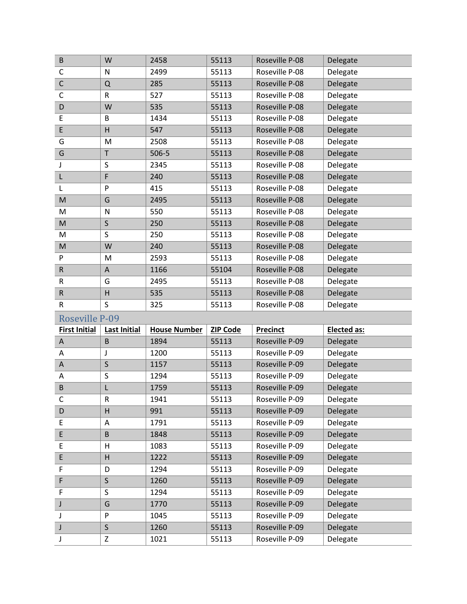| B                     | W                   | 2458                | 55113           | Roseville P-08  | Delegate    |
|-----------------------|---------------------|---------------------|-----------------|-----------------|-------------|
| C                     | N                   | 2499                | 55113           | Roseville P-08  | Delegate    |
| $\mathsf C$           | Q                   | 285                 | 55113           | Roseville P-08  | Delegate    |
| $\mathsf{C}$          | ${\sf R}$           | 527                 | 55113           | Roseville P-08  | Delegate    |
| D                     | W                   | 535                 | 55113           | Roseville P-08  | Delegate    |
| E                     | B                   | 1434                | 55113           | Roseville P-08  | Delegate    |
| E                     | H                   | 547                 | 55113           | Roseville P-08  | Delegate    |
| G                     | M                   | 2508                | 55113           | Roseville P-08  | Delegate    |
| G                     | $\mathsf T$         | 506-5               | 55113           | Roseville P-08  | Delegate    |
| J                     | $\sf S$             | 2345                | 55113           | Roseville P-08  | Delegate    |
| L                     | F                   | 240                 | 55113           | Roseville P-08  | Delegate    |
| L                     | P                   | 415                 | 55113           | Roseville P-08  | Delegate    |
| M                     | G                   | 2495                | 55113           | Roseville P-08  | Delegate    |
| M                     | N                   | 550                 | 55113           | Roseville P-08  | Delegate    |
| M                     | $\sf S$             | 250                 | 55113           | Roseville P-08  | Delegate    |
| M                     | S                   | 250                 | 55113           | Roseville P-08  | Delegate    |
| M                     | W                   | 240                 | 55113           | Roseville P-08  | Delegate    |
| P                     | M                   | 2593                | 55113           | Roseville P-08  | Delegate    |
| $\mathsf R$           | A                   | 1166                | 55104           | Roseville P-08  | Delegate    |
| R                     | G                   | 2495                | 55113           | Roseville P-08  | Delegate    |
| $\sf R$               | H                   | 535                 | 55113           | Roseville P-08  | Delegate    |
|                       |                     |                     |                 |                 |             |
| R                     | S                   | 325                 | 55113           | Roseville P-08  | Delegate    |
| <b>Roseville P-09</b> |                     |                     |                 |                 |             |
| <b>First Initial</b>  | <b>Last Initial</b> | <b>House Number</b> | <b>ZIP Code</b> | <b>Precinct</b> | Elected as: |
| A                     | B                   | 1894                | 55113           | Roseville P-09  | Delegate    |
| A                     | J                   | 1200                | 55113           | Roseville P-09  | Delegate    |
| A                     | $\mathsf{S}$        | 1157                | 55113           | Roseville P-09  | Delegate    |
| A                     | $\sf S$             | 1294                | 55113           | Roseville P-09  | Delegate    |
| B                     | L                   | 1759                | 55113           | Roseville P-09  | Delegate    |
| С                     | R                   | 1941                | 55113           | Roseville P-09  | Delegate    |
| D                     | H                   | 991                 | 55113           | Roseville P-09  | Delegate    |
| E                     | A                   | 1791                | 55113           | Roseville P-09  | Delegate    |
| E                     | $\sf B$             | 1848                | 55113           | Roseville P-09  | Delegate    |
| E                     | н                   | 1083                | 55113           | Roseville P-09  | Delegate    |
| E                     | Н                   | 1222                | 55113           | Roseville P-09  | Delegate    |
| F                     | D                   | 1294                | 55113           | Roseville P-09  | Delegate    |
| F                     | $\sf S$             | 1260                | 55113           | Roseville P-09  | Delegate    |
| F                     | S                   | 1294                | 55113           | Roseville P-09  | Delegate    |
| J                     | G                   | 1770                | 55113           | Roseville P-09  | Delegate    |
| J                     | P                   | 1045                | 55113           | Roseville P-09  | Delegate    |
| J                     | $\sf S$             | 1260                | 55113           | Roseville P-09  | Delegate    |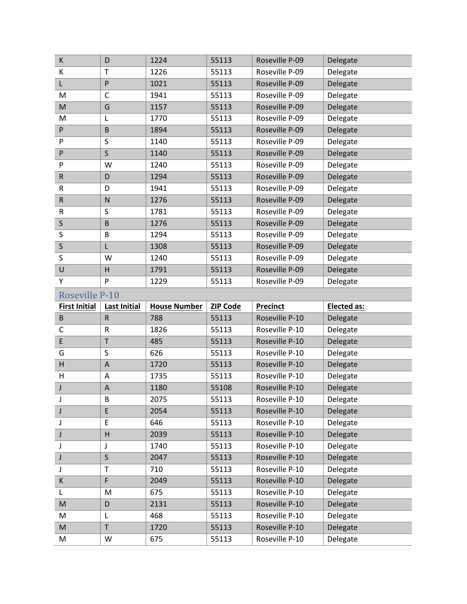| К                     | D                   | 1224                | 55113           | Roseville P-09  | Delegate    |
|-----------------------|---------------------|---------------------|-----------------|-----------------|-------------|
| К                     | T                   | 1226                | 55113           | Roseville P-09  | Delegate    |
| L                     | ${\sf P}$           | 1021                | 55113           | Roseville P-09  | Delegate    |
| M                     | $\mathsf{C}$        | 1941                | 55113           | Roseville P-09  | Delegate    |
| M                     | G                   | 1157                | 55113           | Roseville P-09  | Delegate    |
| M                     | L                   | 1770                | 55113           | Roseville P-09  | Delegate    |
| P                     | $\sf B$             | 1894                | 55113           | Roseville P-09  | Delegate    |
| P                     | S                   | 1140                | 55113           | Roseville P-09  | Delegate    |
| ${\sf P}$             | $\sf S$             | 1140                | 55113           | Roseville P-09  | Delegate    |
| P                     | W                   | 1240                | 55113           | Roseville P-09  | Delegate    |
| ${\sf R}$             | D                   | 1294                | 55113           | Roseville P-09  | Delegate    |
| R                     | D                   | 1941                | 55113           | Roseville P-09  | Delegate    |
| ${\sf R}$             | ${\sf N}$           | 1276                | 55113           | Roseville P-09  | Delegate    |
| ${\sf R}$             | S                   | 1781                | 55113           | Roseville P-09  | Delegate    |
| $\mathsf S$           | $\sf B$             | 1276                | 55113           | Roseville P-09  | Delegate    |
| $\sf S$               | B                   | 1294                | 55113           | Roseville P-09  | Delegate    |
| $\mathsf{S}$          | L                   | 1308                | 55113           | Roseville P-09  | Delegate    |
| S                     | W                   | 1240                | 55113           | Roseville P-09  | Delegate    |
| U                     | H                   | 1791                | 55113           | Roseville P-09  | Delegate    |
| Υ                     | P                   | 1229                | 55113           | Roseville P-09  | Delegate    |
| <b>Roseville P-10</b> |                     |                     |                 |                 |             |
|                       |                     |                     |                 |                 |             |
| <b>First Initial</b>  | <b>Last Initial</b> | <b>House Number</b> | <b>ZIP Code</b> | <b>Precinct</b> | Elected as: |
| B                     | ${\sf R}$           | 788                 | 55113           | Roseville P-10  | Delegate    |
| C                     | ${\sf R}$           | 1826                | 55113           | Roseville P-10  | Delegate    |
| $\mathsf E$           | T                   | 485                 | 55113           | Roseville P-10  | Delegate    |
| G                     | S                   | 626                 | 55113           | Roseville P-10  | Delegate    |
| H                     | $\mathsf A$         | 1720                | 55113           | Roseville P-10  | Delegate    |
| H                     | A                   | 1735                | 55113           | Roseville P-10  | Delegate    |
| J                     | A                   | 1180                | 55108           | Roseville P-10  | Delegate    |
| J                     | B                   | 2075                | 55113           | Roseville P-10  | Delegate    |
| J                     | E                   | 2054                | 55113           | Roseville P-10  | Delegate    |
| J                     | E                   | 646                 | 55113           | Roseville P-10  | Delegate    |
| J                     | H                   | 2039                | 55113           | Roseville P-10  | Delegate    |
| J                     | J                   | 1740                | 55113           | Roseville P-10  | Delegate    |
| J                     | $\sf S$             | 2047                | 55113           | Roseville P-10  | Delegate    |
| J                     | T                   | 710                 | 55113           | Roseville P-10  | Delegate    |
| К                     | F                   | 2049                | 55113           | Roseville P-10  | Delegate    |
| L                     | M                   | 675                 | 55113           | Roseville P-10  | Delegate    |
| M                     | D                   | 2131                | 55113           | Roseville P-10  | Delegate    |
| M                     | L                   | 468                 | 55113           | Roseville P-10  | Delegate    |
| M                     | T                   | 1720                | 55113           | Roseville P-10  | Delegate    |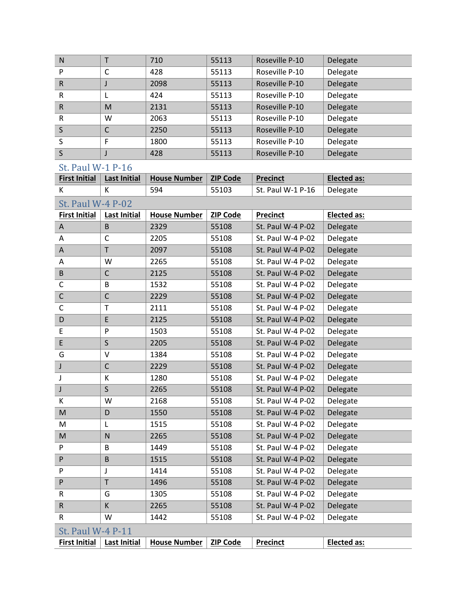| N            |   | 710  | 55113 | Roseville P-10 | Delegate |
|--------------|---|------|-------|----------------|----------|
| P            | C | 428  | 55113 | Roseville P-10 | Delegate |
| $\mathsf{R}$ |   | 2098 | 55113 | Roseville P-10 | Delegate |
| R            |   | 424  | 55113 | Roseville P-10 | Delegate |
| $\mathsf{R}$ | M | 2131 | 55113 | Roseville P-10 | Delegate |
| R            | W | 2063 | 55113 | Roseville P-10 | Delegate |
| S            | C | 2250 | 55113 | Roseville P-10 | Delegate |
| S            | F | 1800 | 55113 | Roseville P-10 | Delegate |
| S            |   | 428  | 55113 | Roseville P-10 | Delegate |

| <b>First Initial</b>                                                                                       | <b>Last Initial</b> | <b>House Number</b> | <b>ZIP Code</b> | <b>Precinct</b>   | <b>Elected as:</b> |
|------------------------------------------------------------------------------------------------------------|---------------------|---------------------|-----------------|-------------------|--------------------|
| K                                                                                                          | K                   | 594                 | 55103           | St. Paul W-1 P-16 | Delegate           |
| <b>St. Paul W-4 P-02</b>                                                                                   |                     |                     |                 |                   |                    |
| <b>First Initial</b>                                                                                       | <b>Last Initial</b> | <b>House Number</b> | <b>ZIP Code</b> | <b>Precinct</b>   | <b>Elected as:</b> |
| Α                                                                                                          | $\sf B$             | 2329                | 55108           | St. Paul W-4 P-02 | Delegate           |
| Α                                                                                                          | $\mathsf{C}$        | 2205                | 55108           | St. Paul W-4 P-02 | Delegate           |
| A                                                                                                          | $\mathsf T$         | 2097                | 55108           | St. Paul W-4 P-02 | Delegate           |
| A                                                                                                          | W                   | 2265                | 55108           | St. Paul W-4 P-02 | Delegate           |
| $\sf B$                                                                                                    | $\mathsf{C}$        | 2125                | 55108           | St. Paul W-4 P-02 | Delegate           |
| C                                                                                                          | B                   | 1532                | 55108           | St. Paul W-4 P-02 | Delegate           |
| $\mathsf C$                                                                                                | $\mathsf{C}$        | 2229                | 55108           | St. Paul W-4 P-02 | Delegate           |
| $\mathsf C$                                                                                                | $\mathsf T$         | 2111                | 55108           | St. Paul W-4 P-02 | Delegate           |
| D                                                                                                          | E                   | 2125                | 55108           | St. Paul W-4 P-02 | Delegate           |
| E                                                                                                          | P                   | 1503                | 55108           | St. Paul W-4 P-02 | Delegate           |
| $\mathsf E$                                                                                                | $\mathsf{S}$        | 2205                | 55108           | St. Paul W-4 P-02 | Delegate           |
| G                                                                                                          | $\vee$              | 1384                | 55108           | St. Paul W-4 P-02 | Delegate           |
| J                                                                                                          | $\mathsf{C}$        | 2229                | 55108           | St. Paul W-4 P-02 | Delegate           |
| J                                                                                                          | К                   | 1280                | 55108           | St. Paul W-4 P-02 | Delegate           |
| J                                                                                                          | $\mathsf S$         | 2265                | 55108           | St. Paul W-4 P-02 | Delegate           |
| К                                                                                                          | W                   | 2168                | 55108           | St. Paul W-4 P-02 | Delegate           |
| M                                                                                                          | D                   | 1550                | 55108           | St. Paul W-4 P-02 | Delegate           |
| M                                                                                                          | L                   | 1515                | 55108           | St. Paul W-4 P-02 | Delegate           |
| $\mathsf{M}% _{T}=\mathsf{M}_{T}\!\left( a,b\right) ,\ \mathsf{M}_{T}=\mathsf{M}_{T}\!\left( a,b\right) ,$ | $\mathsf{N}$        | 2265                | 55108           | St. Paul W-4 P-02 | Delegate           |
| P                                                                                                          | B                   | 1449                | 55108           | St. Paul W-4 P-02 | Delegate           |
| P                                                                                                          | B                   | 1515                | 55108           | St. Paul W-4 P-02 | Delegate           |
| P                                                                                                          | J                   | 1414                | 55108           | St. Paul W-4 P-02 | Delegate           |
| ${\sf P}$                                                                                                  | T                   | 1496                | 55108           | St. Paul W-4 P-02 | Delegate           |
| R                                                                                                          | G                   | 1305                | 55108           | St. Paul W-4 P-02 | Delegate           |
| $\mathsf R$                                                                                                | К                   | 2265                | 55108           | St. Paul W-4 P-02 | Delegate           |
| R                                                                                                          | W                   | 1442                | 55108           | St. Paul W-4 P-02 | Delegate           |
| <b>St. Paul W-4 P-11</b>                                                                                   |                     |                     |                 |                   |                    |
| <b>First Initial</b>                                                                                       | <b>Last Initial</b> | <b>House Number</b> | <b>ZIP Code</b> | <b>Precinct</b>   | Elected as:        |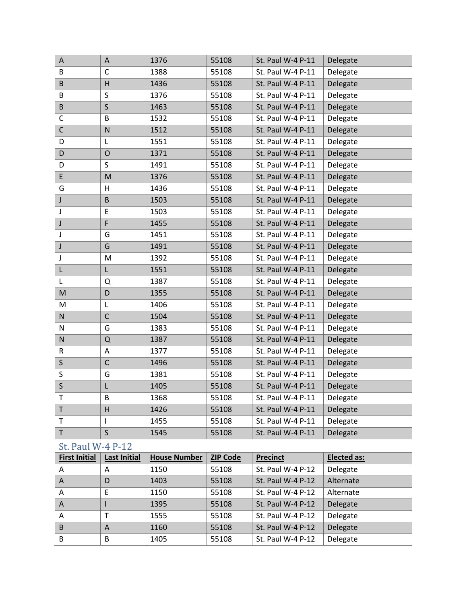| Α                        | A                   | 1376                | 55108           | St. Paul W-4 P-11 | Delegate    |
|--------------------------|---------------------|---------------------|-----------------|-------------------|-------------|
| B                        | C                   | 1388                | 55108           | St. Paul W-4 P-11 | Delegate    |
| B                        | Н                   | 1436                | 55108           | St. Paul W-4 P-11 | Delegate    |
| B                        | S                   | 1376                | 55108           | St. Paul W-4 P-11 | Delegate    |
| B                        | $\mathsf S$         | 1463                | 55108           | St. Paul W-4 P-11 | Delegate    |
| C                        | B                   | 1532                | 55108           | St. Paul W-4 P-11 | Delegate    |
| $\mathsf C$              | $\mathsf{N}$        | 1512                | 55108           | St. Paul W-4 P-11 | Delegate    |
| D                        | L                   | 1551                | 55108           | St. Paul W-4 P-11 | Delegate    |
| D                        | $\mathsf{O}$        | 1371                | 55108           | St. Paul W-4 P-11 | Delegate    |
| D                        | S                   | 1491                | 55108           | St. Paul W-4 P-11 | Delegate    |
| E                        | M                   | 1376                | 55108           | St. Paul W-4 P-11 | Delegate    |
| G                        | н                   | 1436                | 55108           | St. Paul W-4 P-11 | Delegate    |
| J                        | $\sf B$             | 1503                | 55108           | St. Paul W-4 P-11 | Delegate    |
| J                        | E                   | 1503                | 55108           | St. Paul W-4 P-11 | Delegate    |
| J                        | F                   | 1455                | 55108           | St. Paul W-4 P-11 | Delegate    |
| J                        | G                   | 1451                | 55108           | St. Paul W-4 P-11 | Delegate    |
| J                        | G                   | 1491                | 55108           | St. Paul W-4 P-11 | Delegate    |
| J                        | M                   | 1392                | 55108           | St. Paul W-4 P-11 | Delegate    |
| L                        | L                   | 1551                | 55108           | St. Paul W-4 P-11 | Delegate    |
| L                        | Q                   | 1387                | 55108           | St. Paul W-4 P-11 | Delegate    |
| M                        | D                   | 1355                | 55108           | St. Paul W-4 P-11 | Delegate    |
| M                        | L                   | 1406                | 55108           | St. Paul W-4 P-11 | Delegate    |
| N                        | $\mathsf C$         | 1504                | 55108           | St. Paul W-4 P-11 | Delegate    |
| ${\sf N}$                | G                   | 1383                | 55108           | St. Paul W-4 P-11 | Delegate    |
| ${\sf N}$                | Q                   | 1387                | 55108           | St. Paul W-4 P-11 | Delegate    |
| R                        | A                   | 1377                | 55108           | St. Paul W-4 P-11 | Delegate    |
| $\sf S$                  | $\mathsf C$         | 1496                | 55108           | St. Paul W-4 P-11 | Delegate    |
| S                        | G                   | 1381                | 55108           | St. Paul W-4 P-11 | Delegate    |
| $\sf S$                  | L                   | 1405                | 55108           | St. Paul W-4 P-11 | Delegate    |
| Т                        | В                   | 1368                | 55108           | St. Paul W-4 P-11 | Delegate    |
| T                        | H                   | 1426                | 55108           | St. Paul W-4 P-11 | Delegate    |
| T                        | L                   | 1455                | 55108           | St. Paul W-4 P-11 | Delegate    |
| $\sf T$                  | S                   | 1545                | 55108           | St. Paul W-4 P-11 | Delegate    |
| <b>St. Paul W-4 P-12</b> |                     |                     |                 |                   |             |
| <b>First Initial</b>     | <b>Last Initial</b> | <b>House Number</b> | <b>ZIP Code</b> | <b>Precinct</b>   | Elected as: |
| A                        | A                   | 1150                | 55108           | St. Paul W-4 P-12 | Delegate    |
| A                        | D                   | 1403                | 55108           | St. Paul W-4 P-12 | Alternate   |
| A                        | E                   | 1150                | 55108           | St. Paul W-4 P-12 | Alternate   |
| A                        | $\mathsf{I}$        | 1395                | 55108           | St. Paul W-4 P-12 | Delegate    |
| Α                        | T                   | 1555                | 55108           | St. Paul W-4 P-12 | Delegate    |
| B                        | A                   | 1160                | 55108           | St. Paul W-4 P-12 | Delegate    |

B B 1405 55108 St. Paul W-4 P-12 Delegate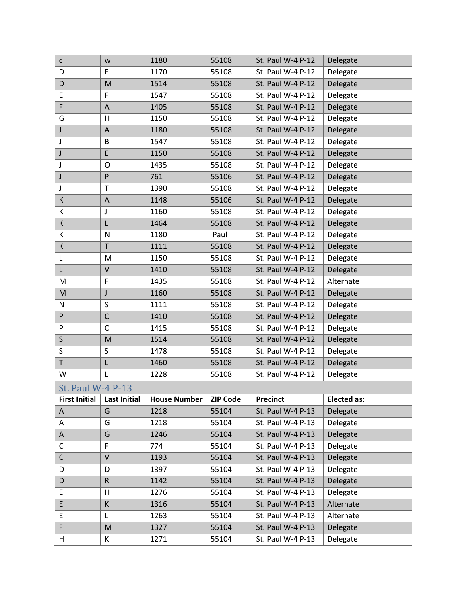| $\mathsf{C}$             | W                                                                                                          | 1180                | 55108           | St. Paul W-4 P-12 | Delegate           |
|--------------------------|------------------------------------------------------------------------------------------------------------|---------------------|-----------------|-------------------|--------------------|
| D                        | E                                                                                                          | 1170                | 55108           | St. Paul W-4 P-12 | Delegate           |
| D                        | M                                                                                                          | 1514                | 55108           | St. Paul W-4 P-12 | Delegate           |
| E                        | F                                                                                                          | 1547                | 55108           | St. Paul W-4 P-12 | Delegate           |
| F                        | $\boldsymbol{\mathsf{A}}$                                                                                  | 1405                | 55108           | St. Paul W-4 P-12 | Delegate           |
| G                        | Н                                                                                                          | 1150                | 55108           | St. Paul W-4 P-12 | Delegate           |
| J                        | $\boldsymbol{\mathsf{A}}$                                                                                  | 1180                | 55108           | St. Paul W-4 P-12 | Delegate           |
| J                        | B                                                                                                          | 1547                | 55108           | St. Paul W-4 P-12 | Delegate           |
| $\textsf{J}$             | $\mathsf E$                                                                                                | 1150                | 55108           | St. Paul W-4 P-12 | Delegate           |
| J                        | O                                                                                                          | 1435                | 55108           | St. Paul W-4 P-12 | Delegate           |
| J                        | $\mathsf{P}$                                                                                               | 761                 | 55106           | St. Paul W-4 P-12 | Delegate           |
| J                        | T                                                                                                          | 1390                | 55108           | St. Paul W-4 P-12 | Delegate           |
| K                        | $\boldsymbol{\mathsf{A}}$                                                                                  | 1148                | 55106           | St. Paul W-4 P-12 | Delegate           |
| K                        | J                                                                                                          | 1160                | 55108           | St. Paul W-4 P-12 | Delegate           |
| K                        | L                                                                                                          | 1464                | 55108           | St. Paul W-4 P-12 | Delegate           |
| К                        | ${\sf N}$                                                                                                  | 1180                | Paul            | St. Paul W-4 P-12 | Delegate           |
| К                        | T                                                                                                          | 1111                | 55108           | St. Paul W-4 P-12 | Delegate           |
| L                        | M                                                                                                          | 1150                | 55108           | St. Paul W-4 P-12 | Delegate           |
| L                        | V                                                                                                          | 1410                | 55108           | St. Paul W-4 P-12 | Delegate           |
| M                        | F                                                                                                          | 1435                | 55108           | St. Paul W-4 P-12 | Alternate          |
| M                        | J                                                                                                          | 1160                | 55108           | St. Paul W-4 P-12 | Delegate           |
| N                        | S                                                                                                          | 1111                | 55108           | St. Paul W-4 P-12 | Delegate           |
| P                        | $\mathsf{C}$                                                                                               | 1410                | 55108           | St. Paul W-4 P-12 | Delegate           |
| P                        | $\mathsf{C}$                                                                                               | 1415                | 55108           | St. Paul W-4 P-12 | Delegate           |
| $\sf S$                  | $\mathsf{M}% _{T}=\mathsf{M}_{T}\!\left( a,b\right) ,\ \mathsf{M}_{T}=\mathsf{M}_{T}\!\left( a,b\right) ,$ | 1514                | 55108           | St. Paul W-4 P-12 | Delegate           |
| S                        | S                                                                                                          | 1478                | 55108           | St. Paul W-4 P-12 | Delegate           |
| $\mathsf T$              | L                                                                                                          | 1460                | 55108           | St. Paul W-4 P-12 | Delegate           |
| W                        | L                                                                                                          | 1228                | 55108           | St. Paul W-4 P-12 | Delegate           |
| <b>St. Paul W-4 P-13</b> |                                                                                                            |                     |                 |                   |                    |
| <b>First Initial</b>     | <b>Last Initial</b>                                                                                        | <b>House Number</b> | <b>ZIP Code</b> | Precinct          | <b>Elected as:</b> |
| A                        | G                                                                                                          | 1218                | 55104           | St. Paul W-4 P-13 | Delegate           |
| Α                        | G                                                                                                          | 1218                | 55104           | St. Paul W-4 P-13 | Delegate           |
| A                        | G                                                                                                          | 1246                | 55104           | St. Paul W-4 P-13 | Delegate           |
| $\mathsf C$              | F                                                                                                          | 774                 | 55104           | St. Paul W-4 P-13 | Delegate           |
| $\mathsf C$              | V                                                                                                          | 1193                | 55104           | St. Paul W-4 P-13 | Delegate           |
| D                        | D                                                                                                          | 1397                | 55104           | St. Paul W-4 P-13 | Delegate           |
| D                        | ${\sf R}$                                                                                                  | 1142                | 55104           | St. Paul W-4 P-13 | Delegate           |
| E                        | н                                                                                                          | 1276                | 55104           | St. Paul W-4 P-13 | Delegate           |
| E                        | К                                                                                                          | 1316                | 55104           | St. Paul W-4 P-13 | Alternate          |
| E                        | L                                                                                                          | 1263                | 55104           | St. Paul W-4 P-13 | Alternate          |
| F                        | M                                                                                                          | 1327                | 55104           | St. Paul W-4 P-13 | Delegate           |
| н                        | К                                                                                                          | 1271                | 55104           | St. Paul W-4 P-13 | Delegate           |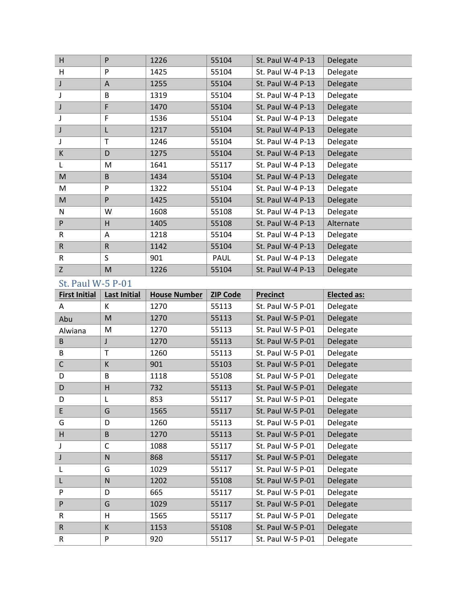| H            | P | 1226 | 55104 | St. Paul W-4 P-13 | Delegate  |
|--------------|---|------|-------|-------------------|-----------|
| H            | P | 1425 | 55104 | St. Paul W-4 P-13 | Delegate  |
| J            | A | 1255 | 55104 | St. Paul W-4 P-13 | Delegate  |
|              | B | 1319 | 55104 | St. Paul W-4 P-13 | Delegate  |
| J            | F | 1470 | 55104 | St. Paul W-4 P-13 | Delegate  |
|              | F | 1536 | 55104 | St. Paul W-4 P-13 | Delegate  |
| J            | L | 1217 | 55104 | St. Paul W-4 P-13 | Delegate  |
| J            | T | 1246 | 55104 | St. Paul W-4 P-13 | Delegate  |
| $\sf K$      | D | 1275 | 55104 | St. Paul W-4 P-13 | Delegate  |
| L            | M | 1641 | 55117 | St. Paul W-4 P-13 | Delegate  |
| M            | B | 1434 | 55104 | St. Paul W-4 P-13 | Delegate  |
| M            | P | 1322 | 55104 | St. Paul W-4 P-13 | Delegate  |
| M            | P | 1425 | 55104 | St. Paul W-4 P-13 | Delegate  |
| N            | W | 1608 | 55108 | St. Paul W-4 P-13 | Delegate  |
| P            | H | 1405 | 55108 | St. Paul W-4 P-13 | Alternate |
| R            | A | 1218 | 55104 | St. Paul W-4 P-13 | Delegate  |
| $\mathsf{R}$ | R | 1142 | 55104 | St. Paul W-4 P-13 | Delegate  |
| $\mathsf{R}$ | S | 901  | PAUL  | St. Paul W-4 P-13 | Delegate  |
| Z            | M | 1226 | 55104 | St. Paul W-4 P-13 | Delegate  |

| <b>First Initial</b> | <b>Last Initial</b> | <b>House Number</b> | <b>ZIP Code</b> | <b>Precinct</b>   | <b>Elected as:</b> |
|----------------------|---------------------|---------------------|-----------------|-------------------|--------------------|
| A                    | K                   | 1270                | 55113           | St. Paul W-5 P-01 | Delegate           |
| Abu                  | M                   | 1270                | 55113           | St. Paul W-5 P-01 | Delegate           |
| Alwiana              | M                   | 1270                | 55113           | St. Paul W-5 P-01 | Delegate           |
| B                    | J                   | 1270                | 55113           | St. Paul W-5 P-01 | Delegate           |
| B                    | T                   | 1260                | 55113           | St. Paul W-5 P-01 | Delegate           |
| $\mathsf C$          | К                   | 901                 | 55103           | St. Paul W-5 P-01 | Delegate           |
| D                    | B                   | 1118                | 55108           | St. Paul W-5 P-01 | Delegate           |
| D                    | H                   | 732                 | 55113           | St. Paul W-5 P-01 | Delegate           |
| D                    | L                   | 853                 | 55117           | St. Paul W-5 P-01 | Delegate           |
| E                    | G                   | 1565                | 55117           | St. Paul W-5 P-01 | Delegate           |
| G                    | D                   | 1260                | 55113           | St. Paul W-5 P-01 | Delegate           |
| H                    | B                   | 1270                | 55113           | St. Paul W-5 P-01 | Delegate           |
| J                    | C                   | 1088                | 55117           | St. Paul W-5 P-01 | Delegate           |
| J                    | N                   | 868                 | 55117           | St. Paul W-5 P-01 | Delegate           |
| L                    | G                   | 1029                | 55117           | St. Paul W-5 P-01 | Delegate           |
| L                    | N                   | 1202                | 55108           | St. Paul W-5 P-01 | Delegate           |
| P                    | D                   | 665                 | 55117           | St. Paul W-5 P-01 | Delegate           |
| P                    | G                   | 1029                | 55117           | St. Paul W-5 P-01 | Delegate           |
| $\mathsf R$          | H                   | 1565                | 55117           | St. Paul W-5 P-01 | Delegate           |
| $\mathsf R$          | К                   | 1153                | 55108           | St. Paul W-5 P-01 | Delegate           |
| R                    | P                   | 920                 | 55117           | St. Paul W-5 P-01 | Delegate           |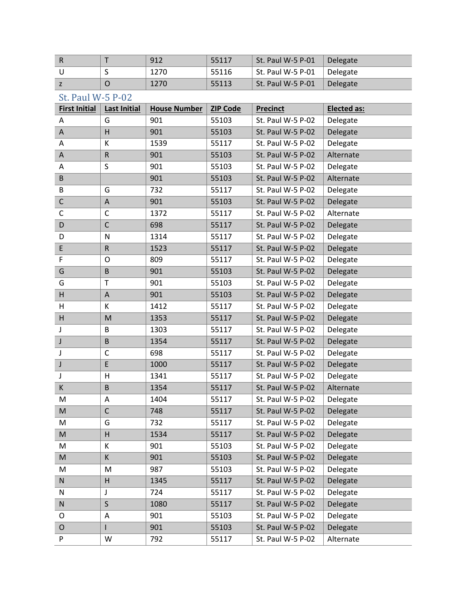|  | 912  | 55117 | St. Paul W-5 P-01 | Delegate |
|--|------|-------|-------------------|----------|
|  | 1270 | 55116 | St. Paul W-5 P-01 | Delegate |
|  | 1270 | 55113 | St. Paul W-5 P-01 | Delegate |

| <b>First Initial</b> | <b>Last Initial</b> | <b>House Number</b> | <b>ZIP Code</b> | <b>Precinct</b>   | <b>Elected as:</b> |
|----------------------|---------------------|---------------------|-----------------|-------------------|--------------------|
| Α                    | G                   | 901                 | 55103           | St. Paul W-5 P-02 | Delegate           |
| A                    | H                   | 901                 | 55103           | St. Paul W-5 P-02 | Delegate           |
| Α                    | К                   | 1539                | 55117           | St. Paul W-5 P-02 | Delegate           |
| A                    | ${\sf R}$           | 901                 | 55103           | St. Paul W-5 P-02 | Alternate          |
| Α                    | $\sf S$             | 901                 | 55103           | St. Paul W-5 P-02 | Delegate           |
| B                    |                     | 901                 | 55103           | St. Paul W-5 P-02 | Alternate          |
| B                    | G                   | 732                 | 55117           | St. Paul W-5 P-02 | Delegate           |
| $\mathsf C$          | A                   | 901                 | 55103           | St. Paul W-5 P-02 | Delegate           |
| $\mathsf C$          | $\mathsf{C}$        | 1372                | 55117           | St. Paul W-5 P-02 | Alternate          |
| D                    | $\mathsf{C}$        | 698                 | 55117           | St. Paul W-5 P-02 | Delegate           |
| D                    | ${\sf N}$           | 1314                | 55117           | St. Paul W-5 P-02 | Delegate           |
| $\sf E$              | ${\sf R}$           | 1523                | 55117           | St. Paul W-5 P-02 | Delegate           |
| F                    | O                   | 809                 | 55117           | St. Paul W-5 P-02 | Delegate           |
| G                    | $\mathsf B$         | 901                 | 55103           | St. Paul W-5 P-02 | Delegate           |
| G                    | T                   | 901                 | 55103           | St. Paul W-5 P-02 | Delegate           |
| H                    | A                   | 901                 | 55103           | St. Paul W-5 P-02 | Delegate           |
| H                    | К                   | 1412                | 55117           | St. Paul W-5 P-02 | Delegate           |
| H                    | M                   | 1353                | 55117           | St. Paul W-5 P-02 | Delegate           |
| J                    | B                   | 1303                | 55117           | St. Paul W-5 P-02 | Delegate           |
| J                    | $\mathsf B$         | 1354                | 55117           | St. Paul W-5 P-02 | Delegate           |
| J                    | $\mathsf{C}$        | 698                 | 55117           | St. Paul W-5 P-02 | Delegate           |
| J                    | E                   | 1000                | 55117           | St. Paul W-5 P-02 | Delegate           |
| J                    | Н                   | 1341                | 55117           | St. Paul W-5 P-02 | Delegate           |
| К                    | $\mathsf B$         | 1354                | 55117           | St. Paul W-5 P-02 | Alternate          |
| M                    | A                   | 1404                | 55117           | St. Paul W-5 P-02 | Delegate           |
| ${\sf M}$            | $\mathsf C$         | 748                 | 55117           | St. Paul W-5 P-02 | Delegate           |
| M                    | G                   | 732                 | 55117           | St. Paul W-5 P-02 | Delegate           |
| M                    | H                   | 1534                | 55117           | St. Paul W-5 P-02 | Delegate           |
| м                    | κ                   | 901                 | 55103           | St. Paul W-5 P-02 | Delegate           |
| M                    | K                   | 901                 | 55103           | St. Paul W-5 P-02 | Delegate           |
| M                    | M                   | 987                 | 55103           | St. Paul W-5 P-02 | Delegate           |
| ${\sf N}$            | Н                   | 1345                | 55117           | St. Paul W-5 P-02 | Delegate           |
| N                    | J                   | 724                 | 55117           | St. Paul W-5 P-02 | Delegate           |
| ${\sf N}$            | $\sf S$             | 1080                | 55117           | St. Paul W-5 P-02 | Delegate           |
| O                    | A                   | 901                 | 55103           | St. Paul W-5 P-02 | Delegate           |
| $\mathsf O$          |                     | 901                 | 55103           | St. Paul W-5 P-02 | Delegate           |
| P                    | W                   | 792                 | 55117           | St. Paul W-5 P-02 | Alternate          |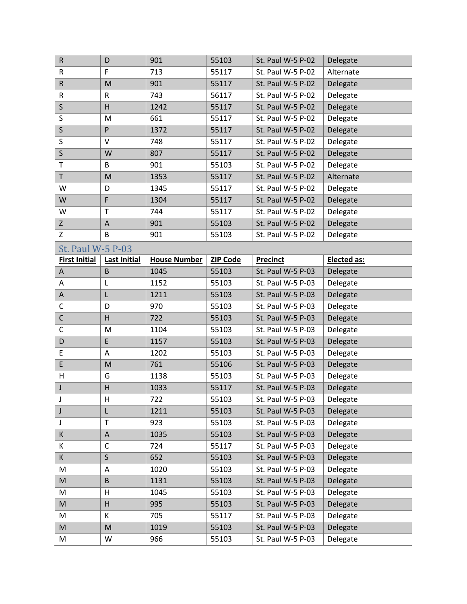| $\mathsf R$          | D                       | 901                 | 55103           | St. Paul W-5 P-02 | Delegate           |
|----------------------|-------------------------|---------------------|-----------------|-------------------|--------------------|
| R                    | F                       | 713                 | 55117           | St. Paul W-5 P-02 | Alternate          |
| ${\sf R}$            | M                       | 901                 | 55117           | St. Paul W-5 P-02 | Delegate           |
| R                    | $\mathsf R$             | 743                 | 56117           | St. Paul W-5 P-02 | Delegate           |
| $\sf S$              | $\overline{H}$          | 1242                | 55117           | St. Paul W-5 P-02 | Delegate           |
| S                    | M                       | 661                 | 55117           | St. Paul W-5 P-02 | Delegate           |
| $\mathsf S$          | P                       | 1372                | 55117           | St. Paul W-5 P-02 | Delegate           |
| S                    | V                       | 748                 | 55117           | St. Paul W-5 P-02 | Delegate           |
| $\sf S$              | W                       | 807                 | 55117           | St. Paul W-5 P-02 | Delegate           |
| T                    | B                       | 901                 | 55103           | St. Paul W-5 P-02 | Delegate           |
| $\sf T$              | M                       | 1353                | 55117           | St. Paul W-5 P-02 | Alternate          |
| W                    | D                       | 1345                | 55117           | St. Paul W-5 P-02 | Delegate           |
| W                    | F                       | 1304                | 55117           | St. Paul W-5 P-02 | Delegate           |
| W                    | T                       | 744                 | 55117           | St. Paul W-5 P-02 | Delegate           |
| $\mathsf{Z}$         | A                       | 901                 | 55103           | St. Paul W-5 P-02 | Delegate           |
| Z                    | B                       | 901                 | 55103           | St. Paul W-5 P-02 | Delegate           |
| St. Paul W-5 P-03    |                         |                     |                 |                   |                    |
| <b>First Initial</b> | <b>Last Initial</b>     | <b>House Number</b> | <b>ZIP Code</b> | <b>Precinct</b>   | <b>Elected as:</b> |
| A                    | $\sf B$                 | 1045                | 55103           | St. Paul W-5 P-03 | Delegate           |
| Α                    | L                       | 1152                | 55103           | St. Paul W-5 P-03 | Delegate           |
| A                    | L                       | 1211                | 55103           | St. Paul W-5 P-03 | Delegate           |
| C                    | D                       | 970                 | 55103           | St. Paul W-5 P-03 | Delegate           |
| $\mathsf C$          | $\overline{\mathsf{H}}$ | 722                 | 55103           | St. Paul W-5 P-03 | Delegate           |
| $\mathsf C$          | M                       | 1104                | 55103           | St. Paul W-5 P-03 | Delegate           |
| D                    | E                       | 1157                | 55103           | St. Paul W-5 P-03 | Delegate           |
| E                    | Α                       | 1202                | 55103           | St. Paul W-5 P-03 | Delegate           |
| E                    | M                       | 761                 | 55106           | St. Paul W-5 P-03 | Delegate           |
| $\mathsf H$          | G                       | 1138                | 55103           | St. Paul W-5 P-03 | Delegate           |
| J                    | Η                       | 1033                | 55117           | St. Paul W-5 P-03 | Delegate           |
| J                    | H                       | 722                 | 55103           | St. Paul W-5 P-03 | Delegate           |
| J                    | L                       | 1211                | 55103           | St. Paul W-5 P-03 | Delegate           |
| J                    | $\mathsf{T}$            | 923                 | 55103           | St. Paul W-5 P-03 | Delegate           |
| K                    | A                       | 1035                | 55103           | St. Paul W-5 P-03 | Delegate           |
| K                    | C                       | 724                 | 55117           | St. Paul W-5 P-03 | Delegate           |
| K                    | S                       | 652                 | 55103           | St. Paul W-5 P-03 | Delegate           |
| M                    | A                       | 1020                | 55103           | St. Paul W-5 P-03 | Delegate           |
| M                    | B                       | 1131                | 55103           | St. Paul W-5 P-03 | Delegate           |
| M                    | H                       | 1045                | 55103           | St. Paul W-5 P-03 | Delegate           |
| M                    | Η                       | 995                 | 55103           | St. Paul W-5 P-03 | Delegate           |
| Μ                    | К                       | 705                 | 55117           | St. Paul W-5 P-03 | Delegate           |
| M                    |                         |                     |                 |                   |                    |
|                      | M                       | 1019                | 55103           | St. Paul W-5 P-03 | Delegate           |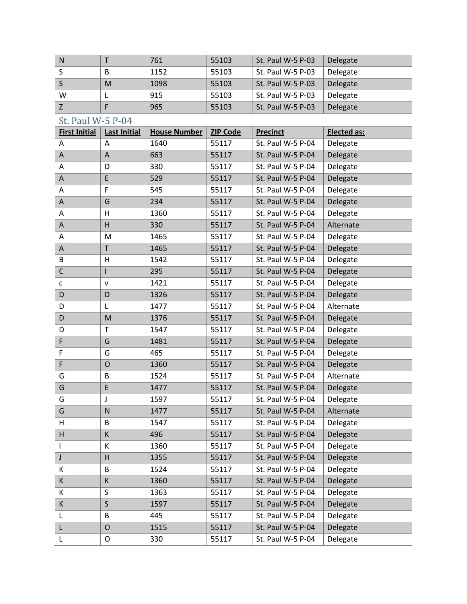| N |   | 761  | 55103 | St. Paul W-5 P-03 | Delegate |
|---|---|------|-------|-------------------|----------|
|   | B | 1152 | 55103 | St. Paul W-5 P-03 | Delegate |
|   | M | 1098 | 55103 | St. Paul W-5 P-03 | Delegate |
| w |   | 915  | 55103 | St. Paul W-5 P-03 | Delegate |
|   |   | 965  | 55103 | St. Paul W-5 P-03 | Delegate |

| <b>First Initial</b> | <b>Last Initial</b>       | <b>House Number</b> | <b>ZIP Code</b> | <b>Precinct</b>   | <b>Elected as:</b> |
|----------------------|---------------------------|---------------------|-----------------|-------------------|--------------------|
| Α                    | A                         | 1640                | 55117           | St. Paul W-5 P-04 | Delegate           |
| A                    | $\boldsymbol{\mathsf{A}}$ | 663                 | 55117           | St. Paul W-5 P-04 | Delegate           |
| Α                    | D                         | 330                 | 55117           | St. Paul W-5 P-04 | Delegate           |
| А                    | E                         | 529                 | 55117           | St. Paul W-5 P-04 | Delegate           |
| Α                    | F                         | 545                 | 55117           | St. Paul W-5 P-04 | Delegate           |
| Α                    | G                         | 234                 | 55117           | St. Paul W-5 P-04 | Delegate           |
| A                    | н                         | 1360                | 55117           | St. Paul W-5 P-04 | Delegate           |
| A                    | $\overline{H}$            | 330                 | 55117           | St. Paul W-5 P-04 | Alternate          |
| A                    | M                         | 1465                | 55117           | St. Paul W-5 P-04 | Delegate           |
| Α                    | $\mathsf T$               | 1465                | 55117           | St. Paul W-5 P-04 | Delegate           |
| В                    | Η                         | 1542                | 55117           | St. Paul W-5 P-04 | Delegate           |
| $\mathsf C$          | I                         | 295                 | 55117           | St. Paul W-5 P-04 | Delegate           |
| С                    | ${\sf v}$                 | 1421                | 55117           | St. Paul W-5 P-04 | Delegate           |
| D                    | D                         | 1326                | 55117           | St. Paul W-5 P-04 | Delegate           |
| D                    | L                         | 1477                | 55117           | St. Paul W-5 P-04 | Alternate          |
| D                    | M                         | 1376                | 55117           | St. Paul W-5 P-04 | Delegate           |
| D                    | T                         | 1547                | 55117           | St. Paul W-5 P-04 | Delegate           |
| F                    | G                         | 1481                | 55117           | St. Paul W-5 P-04 | Delegate           |
| F                    | G                         | 465                 | 55117           | St. Paul W-5 P-04 | Delegate           |
| F                    | $\mathsf{O}$              | 1360                | 55117           | St. Paul W-5 P-04 | Delegate           |
| G                    | B                         | 1524                | 55117           | St. Paul W-5 P-04 | Alternate          |
| G                    | E                         | 1477                | 55117           | St. Paul W-5 P-04 | Delegate           |
| G                    | J                         | 1597                | 55117           | St. Paul W-5 P-04 | Delegate           |
| G                    | $\mathsf{N}$              | 1477                | 55117           | St. Paul W-5 P-04 | Alternate          |
| H                    | B                         | 1547                | 55117           | St. Paul W-5 P-04 | Delegate           |
| Н                    | К                         | 496                 | 55117           | St. Paul W-5 P-04 | Delegate           |
| $\mathsf{l}$         | К                         | 1360                | 55117           | St. Paul W-5 P-04 | Delegate           |
| J                    | $\overline{H}$            | 1355                | 55117           | St. Paul W-5 P-04 | Delegate           |
| К                    | B                         | 1524                | 55117           | St. Paul W-5 P-04 | Delegate           |
| K                    | К                         | 1360                | 55117           | St. Paul W-5 P-04 | Delegate           |
| K                    | S                         | 1363                | 55117           | St. Paul W-5 P-04 | Delegate           |
| K                    | $\mathsf{S}$              | 1597                | 55117           | St. Paul W-5 P-04 | Delegate           |
| L                    | B                         | 445                 | 55117           | St. Paul W-5 P-04 | Delegate           |
| L                    | $\mathsf{O}$              | 1515                | 55117           | St. Paul W-5 P-04 | Delegate           |
| L                    | O                         | 330                 | 55117           | St. Paul W-5 P-04 | Delegate           |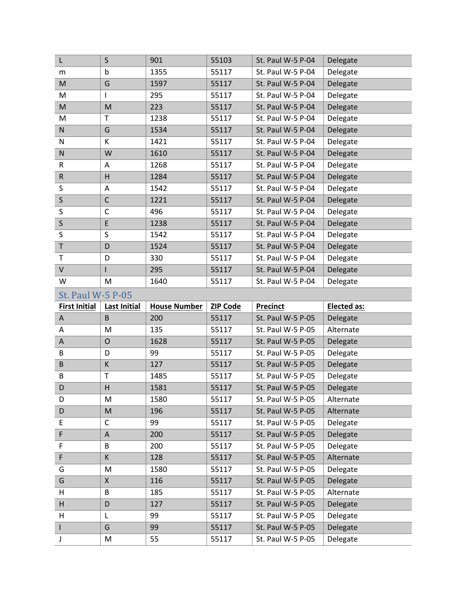| L                    | $\sf S$                 | 901                 | 55103           | St. Paul W-5 P-04 | Delegate           |
|----------------------|-------------------------|---------------------|-----------------|-------------------|--------------------|
| m                    | b                       | 1355                | 55117           | St. Paul W-5 P-04 | Delegate           |
| M                    | G                       | 1597                | 55117           | St. Paul W-5 P-04 | Delegate           |
| M                    | T                       | 295                 | 55117           | St. Paul W-5 P-04 | Delegate           |
| M                    | M                       | 223                 | 55117           | St. Paul W-5 P-04 | Delegate           |
| M                    | T                       | 1238                | 55117           | St. Paul W-5 P-04 | Delegate           |
| N                    | G                       | 1534                | 55117           | St. Paul W-5 P-04 | Delegate           |
| N                    | К                       | 1421                | 55117           | St. Paul W-5 P-04 | Delegate           |
| ${\sf N}$            | W                       | 1610                | 55117           | St. Paul W-5 P-04 | Delegate           |
| R                    | Α                       | 1268                | 55117           | St. Paul W-5 P-04 | Delegate           |
| $\sf R$              | $\overline{\mathsf{H}}$ | 1284                | 55117           | St. Paul W-5 P-04 | Delegate           |
| S                    | Α                       | 1542                | 55117           | St. Paul W-5 P-04 | Delegate           |
| $\mathsf S$          | $\mathsf C$             | 1221                | 55117           | St. Paul W-5 P-04 | Delegate           |
| S                    | C                       | 496                 | 55117           | St. Paul W-5 P-04 | Delegate           |
| $\sf S$              | E                       | 1238                | 55117           | St. Paul W-5 P-04 | Delegate           |
| S                    | S                       | 1542                | 55117           | St. Paul W-5 P-04 | Delegate           |
| $\sf T$              | D                       | 1524                | 55117           | St. Paul W-5 P-04 | Delegate           |
| $\top$               | D                       | 330                 | 55117           | St. Paul W-5 P-04 | Delegate           |
| $\sf V$              | $\mathsf{I}$            | 295                 | 55117           | St. Paul W-5 P-04 | Delegate           |
| W                    | M                       | 1640                | 55117           | St. Paul W-5 P-04 | Delegate           |
|                      |                         |                     |                 |                   |                    |
| St. Paul W-5 P-05    |                         |                     |                 |                   |                    |
| <b>First Initial</b> | <b>Last Initial</b>     | <b>House Number</b> | <b>ZIP Code</b> | <b>Precinct</b>   | <b>Elected as:</b> |
| A                    | $\sf B$                 | 200                 | 55117           | St. Paul W-5 P-05 | Delegate           |
| Α                    | M                       | 135                 | 55117           | St. Paul W-5 P-05 | Alternate          |
| Α                    | $\mathsf{O}$            | 1628                | 55117           | St. Paul W-5 P-05 | Delegate           |
| B                    | D                       | 99                  | 55117           | St. Paul W-5 P-05 | Delegate           |
| B                    | K                       | 127                 | 55117           | St. Paul W-5 P-05 | Delegate           |
| B                    | Τ                       | 1485                | 55117           | St. Paul W-5 P-05 | Delegate           |
| D                    | $\overline{\mathsf{H}}$ | 1581                | 55117           | St. Paul W-5 P-05 | Delegate           |
| D                    | M                       | 1580                | 55117           | St. Paul W-5 P-05 | Alternate          |
| D                    | M                       | 196                 | 55117           | St. Paul W-5 P-05 | Alternate          |
| E                    | С                       | 99                  | 55117           | St. Paul W-5 P-05 | Delegate           |
| F                    | A                       | 200                 | 55117           | St. Paul W-5 P-05 | Delegate           |
| F                    | B                       | 200                 | 55117           | St. Paul W-5 P-05 | Delegate           |
| F                    | К                       | 128                 | 55117           | St. Paul W-5 P-05 | Alternate          |
| G                    | M                       | 1580                | 55117           | St. Paul W-5 P-05 | Delegate           |
| G                    | Χ                       | 116                 | 55117           | St. Paul W-5 P-05 | Delegate           |
| H                    | B                       | 185                 | 55117           | St. Paul W-5 P-05 | Alternate          |
| H                    | D                       | 127                 | 55117           | St. Paul W-5 P-05 | Delegate           |
| H                    | L                       | 99                  | 55117           | St. Paul W-5 P-05 | Delegate           |
| $\mathsf{L}$         | G                       | 99                  | 55117           | St. Paul W-5 P-05 | Delegate           |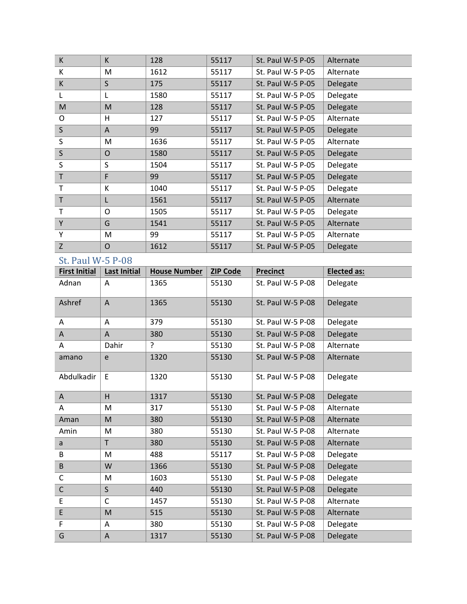| K           | K            | 128  | 55117 | St. Paul W-5 P-05 | Alternate |
|-------------|--------------|------|-------|-------------------|-----------|
| К           | М            | 1612 | 55117 | St. Paul W-5 P-05 | Alternate |
| К           | $\mathsf S$  | 175  | 55117 | St. Paul W-5 P-05 | Delegate  |
| L           | L            | 1580 | 55117 | St. Paul W-5 P-05 | Delegate  |
| M           | M            | 128  | 55117 | St. Paul W-5 P-05 | Delegate  |
| O           | н            | 127  | 55117 | St. Paul W-5 P-05 | Alternate |
| $\sf S$     | A            | 99   | 55117 | St. Paul W-5 P-05 | Delegate  |
| S           | M            | 1636 | 55117 | St. Paul W-5 P-05 | Alternate |
| $\mathsf S$ | O            | 1580 | 55117 | St. Paul W-5 P-05 | Delegate  |
| S           | S            | 1504 | 55117 | St. Paul W-5 P-05 | Delegate  |
| $\mathsf T$ | F            | 99   | 55117 | St. Paul W-5 P-05 | Delegate  |
| т           | K            | 1040 | 55117 | St. Paul W-5 P-05 | Delegate  |
| $\mathsf T$ | L            | 1561 | 55117 | St. Paul W-5 P-05 | Alternate |
| T           | O            | 1505 | 55117 | St. Paul W-5 P-05 | Delegate  |
| Y           | G            | 1541 | 55117 | St. Paul W-5 P-05 | Alternate |
| Y           | M            | 99   | 55117 | St. Paul W-5 P-05 | Alternate |
| Z           | $\mathsf{O}$ | 1612 | 55117 | St. Paul W-5 P-05 | Delegate  |

| <b>First Initial</b> | <b>Last Initial</b> | <b>House Number</b> | <b>ZIP Code</b> | <b>Precinct</b>   | <b>Elected as:</b> |
|----------------------|---------------------|---------------------|-----------------|-------------------|--------------------|
| Adnan                | A                   | 1365                | 55130           | St. Paul W-5 P-08 | Delegate           |
| Ashref               | $\overline{A}$      | 1365                | 55130           | St. Paul W-5 P-08 | Delegate           |
| Α                    | A                   | 379                 | 55130           | St. Paul W-5 P-08 | Delegate           |
| A                    | A                   | 380                 | 55130           | St. Paul W-5 P-08 | Delegate           |
| Α                    | Dahir               | ?                   | 55130           | St. Paul W-5 P-08 | Alternate          |
| amano                | e                   | 1320                | 55130           | St. Paul W-5 P-08 | Alternate          |
| Abdulkadir           | E                   | 1320                | 55130           | St. Paul W-5 P-08 | Delegate           |
| A                    | H                   | 1317                | 55130           | St. Paul W-5 P-08 | Delegate           |
| A                    | M                   | 317                 | 55130           | St. Paul W-5 P-08 | Alternate          |
| Aman                 | M                   | 380                 | 55130           | St. Paul W-5 P-08 | Alternate          |
| Amin                 | M                   | 380                 | 55130           | St. Paul W-5 P-08 | Alternate          |
| a                    | T                   | 380                 | 55130           | St. Paul W-5 P-08 | Alternate          |
| B                    | M                   | 488                 | 55117           | St. Paul W-5 P-08 | Delegate           |
| $\sf B$              | W                   | 1366                | 55130           | St. Paul W-5 P-08 | Delegate           |
| C                    | M                   | 1603                | 55130           | St. Paul W-5 P-08 | Delegate           |
| $\mathsf C$          | $\mathsf{S}$        | 440                 | 55130           | St. Paul W-5 P-08 | Delegate           |
| E                    | $\mathsf{C}$        | 1457                | 55130           | St. Paul W-5 P-08 | Alternate          |
| $\mathsf E$          | M                   | 515                 | 55130           | St. Paul W-5 P-08 | Alternate          |
| F                    | Α                   | 380                 | 55130           | St. Paul W-5 P-08 | Delegate           |
| G                    | A                   | 1317                | 55130           | St. Paul W-5 P-08 | Delegate           |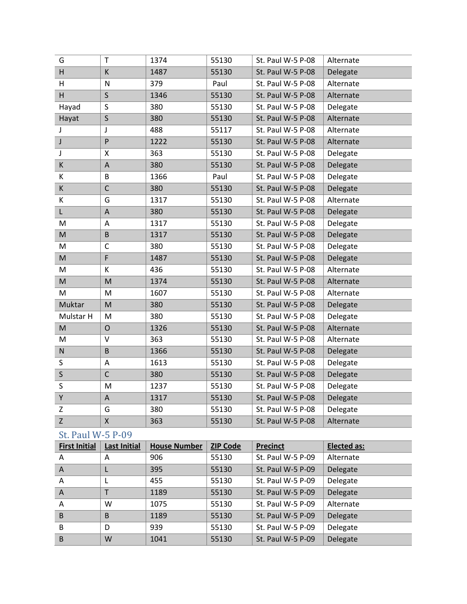| G            | T              | 1374 | 55130 | St. Paul W-5 P-08 | Alternate |
|--------------|----------------|------|-------|-------------------|-----------|
| H            | К              | 1487 | 55130 | St. Paul W-5 P-08 | Delegate  |
| H            | N              | 379  | Paul  | St. Paul W-5 P-08 | Alternate |
| H            | $\mathsf S$    | 1346 | 55130 | St. Paul W-5 P-08 | Alternate |
| Hayad        | S              | 380  | 55130 | St. Paul W-5 P-08 | Delegate  |
| Hayat        | S              | 380  | 55130 | St. Paul W-5 P-08 | Alternate |
| J            | J              | 488  | 55117 | St. Paul W-5 P-08 | Alternate |
| J            | P              | 1222 | 55130 | St. Paul W-5 P-08 | Alternate |
| J            | Χ              | 363  | 55130 | St. Paul W-5 P-08 | Delegate  |
| К            | A              | 380  | 55130 | St. Paul W-5 P-08 | Delegate  |
| K            | B              | 1366 | Paul  | St. Paul W-5 P-08 | Delegate  |
| K            | $\mathsf{C}$   | 380  | 55130 | St. Paul W-5 P-08 | Delegate  |
| K            | G              | 1317 | 55130 | St. Paul W-5 P-08 | Alternate |
| L            | A              | 380  | 55130 | St. Paul W-5 P-08 | Delegate  |
| M            | A              | 1317 | 55130 | St. Paul W-5 P-08 | Delegate  |
| M            | $\sf B$        | 1317 | 55130 | St. Paul W-5 P-08 | Delegate  |
| M            | C              | 380  | 55130 | St. Paul W-5 P-08 | Delegate  |
| M            | F              | 1487 | 55130 | St. Paul W-5 P-08 | Delegate  |
| M            | К              | 436  | 55130 | St. Paul W-5 P-08 | Alternate |
| ${\sf M}$    | M              | 1374 | 55130 | St. Paul W-5 P-08 | Alternate |
| м            | M              | 1607 | 55130 | St. Paul W-5 P-08 | Alternate |
| Muktar       | M              | 380  | 55130 | St. Paul W-5 P-08 | Delegate  |
| Mulstar H    | M              | 380  | 55130 | St. Paul W-5 P-08 | Delegate  |
| M            | $\overline{O}$ | 1326 | 55130 | St. Paul W-5 P-08 | Alternate |
| M            | V              | 363  | 55130 | St. Paul W-5 P-08 | Alternate |
| ${\sf N}$    | B              | 1366 | 55130 | St. Paul W-5 P-08 | Delegate  |
| S            | A              | 1613 | 55130 | St. Paul W-5 P-08 | Delegate  |
| $\mathsf{S}$ | $\mathsf{C}$   | 380  | 55130 | St. Paul W-5 P-08 | Delegate  |
| S            | M              | 1237 | 55130 | St. Paul W-5 P-08 | Delegate  |
| Υ            | A              | 1317 | 55130 | St. Paul W-5 P-08 | Delegate  |
| Z            | G              | 380  | 55130 | St. Paul W-5 P-08 | Delegate  |
| Z            | X              | 363  | 55130 | St. Paul W-5 P-08 | Alternate |

| <b>First Initial</b> | <b>Last Initial</b> | <b>House Number</b> | <b>ZIP Code</b> | <b>Precinct</b>   | <b>Elected as:</b> |
|----------------------|---------------------|---------------------|-----------------|-------------------|--------------------|
| A                    | A                   | 906                 | 55130           | St. Paul W-5 P-09 | Alternate          |
| $\overline{A}$       |                     | 395                 | 55130           | St. Paul W-5 P-09 | Delegate           |
| A                    |                     | 455                 | 55130           | St. Paul W-5 P-09 | Delegate           |
| A                    | $\mathsf{T}$        | 1189                | 55130           | St. Paul W-5 P-09 | Delegate           |
| A                    | W                   | 1075                | 55130           | St. Paul W-5 P-09 | Alternate          |
| B                    | B                   | 1189                | 55130           | St. Paul W-5 P-09 | Delegate           |
| B                    | D                   | 939                 | 55130           | St. Paul W-5 P-09 | Delegate           |
| B                    | W                   | 1041                | 55130           | St. Paul W-5 P-09 | Delegate           |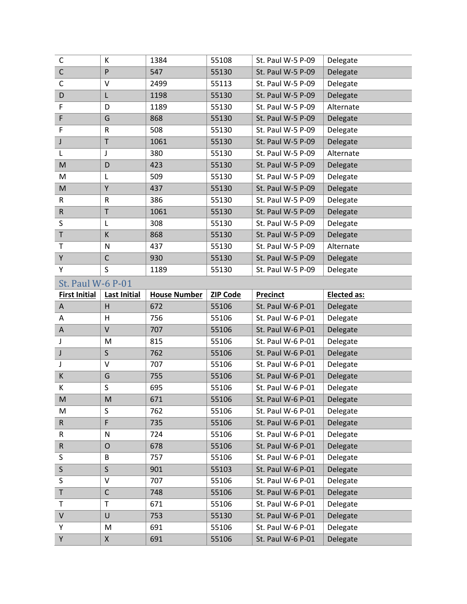| C                        | К                   | 1384                | 55108           | St. Paul W-5 P-09 | Delegate    |
|--------------------------|---------------------|---------------------|-----------------|-------------------|-------------|
| $\overline{\mathsf{C}}$  | P                   | 547                 | 55130           | St. Paul W-5 P-09 | Delegate    |
| $\mathsf C$              | $\vee$              | 2499                | 55113           | St. Paul W-5 P-09 | Delegate    |
| D                        | L                   | 1198                | 55130           | St. Paul W-5 P-09 | Delegate    |
| F                        | D                   | 1189                | 55130           | St. Paul W-5 P-09 | Alternate   |
| F                        | G                   | 868                 | 55130           | St. Paul W-5 P-09 | Delegate    |
| F                        | ${\sf R}$           | 508                 | 55130           | St. Paul W-5 P-09 | Delegate    |
| J                        | $\sf T$             | 1061                | 55130           | St. Paul W-5 P-09 | Delegate    |
| L                        | J                   | 380                 | 55130           | St. Paul W-5 P-09 | Alternate   |
| M                        | D                   | 423                 | 55130           | St. Paul W-5 P-09 | Delegate    |
| M                        | L                   | 509                 | 55130           | St. Paul W-5 P-09 | Delegate    |
| M                        | Υ                   | 437                 | 55130           | St. Paul W-5 P-09 | Delegate    |
| R                        | $\mathsf R$         | 386                 | 55130           | St. Paul W-5 P-09 | Delegate    |
| ${\sf R}$                | $\sf T$             | 1061                | 55130           | St. Paul W-5 P-09 | Delegate    |
| S                        | L                   | 308                 | 55130           | St. Paul W-5 P-09 | Delegate    |
| $\sf T$                  | К                   | 868                 | 55130           | St. Paul W-5 P-09 | Delegate    |
| T                        | N                   | 437                 | 55130           | St. Paul W-5 P-09 | Alternate   |
| Υ                        | $\mathsf C$         | 930                 | 55130           | St. Paul W-5 P-09 | Delegate    |
| Υ                        | S                   | 1189                | 55130           | St. Paul W-5 P-09 | Delegate    |
| <b>St. Paul W-6 P-01</b> |                     |                     |                 |                   |             |
| <b>First Initial</b>     | <b>Last Initial</b> | <b>House Number</b> | <b>ZIP Code</b> | <b>Precinct</b>   | Elected as: |
| A                        | H                   | 672                 | 55106           | St. Paul W-6 P-01 | Delegate    |
| Α                        | Н                   | 756                 | 55106           | St. Paul W-6 P-01 | Delegate    |
|                          |                     | 707                 | 55106           | St. Paul W-6 P-01 |             |
| Α                        | $\sf V$             |                     |                 |                   | Delegate    |
| J                        | M                   | 815                 | 55106           | St. Paul W-6 P-01 | Delegate    |
| J                        | $\sf S$             | 762                 | 55106           | St. Paul W-6 P-01 | Delegate    |
| J                        | V                   | 707                 | 55106           | St. Paul W-6 P-01 | Delegate    |
| К                        | G                   | 755                 | 55106           | St. Paul W-6 P-01 | Delegate    |
| К                        | S                   | 695                 | 55106           | St. Paul W-6 P-01 | Delegate    |
| ${\sf M}$                | M                   | 671                 | 55106           | St. Paul W-6 P-01 | Delegate    |
| M                        | S                   | 762                 | 55106           | St. Paul W-6 P-01 | Delegate    |
| R                        | F                   | 735                 | 55106           | St. Paul W-6 P-01 | Delegate    |
| R                        | N                   | 724                 | 55106           | St. Paul W-6 P-01 | Delegate    |
| $\sf R$                  | $\mathsf{O}$        | 678                 | 55106           | St. Paul W-6 P-01 | Delegate    |
| S                        | B                   | 757                 | 55106           | St. Paul W-6 P-01 | Delegate    |
| $\mathsf{S}$             | $\mathsf S$         | 901                 | 55103           | St. Paul W-6 P-01 | Delegate    |
| S                        | V                   | 707                 | 55106           | St. Paul W-6 P-01 | Delegate    |
| T                        | $\mathsf{C}$        | 748                 | 55106           | St. Paul W-6 P-01 | Delegate    |
| Τ                        | Τ                   | 671                 | 55106           | St. Paul W-6 P-01 | Delegate    |
| $\sf V$                  | U                   | 753                 | 55130           | St. Paul W-6 P-01 | Delegate    |
| Υ<br>Υ                   | M                   | 691                 | 55106           | St. Paul W-6 P-01 | Delegate    |